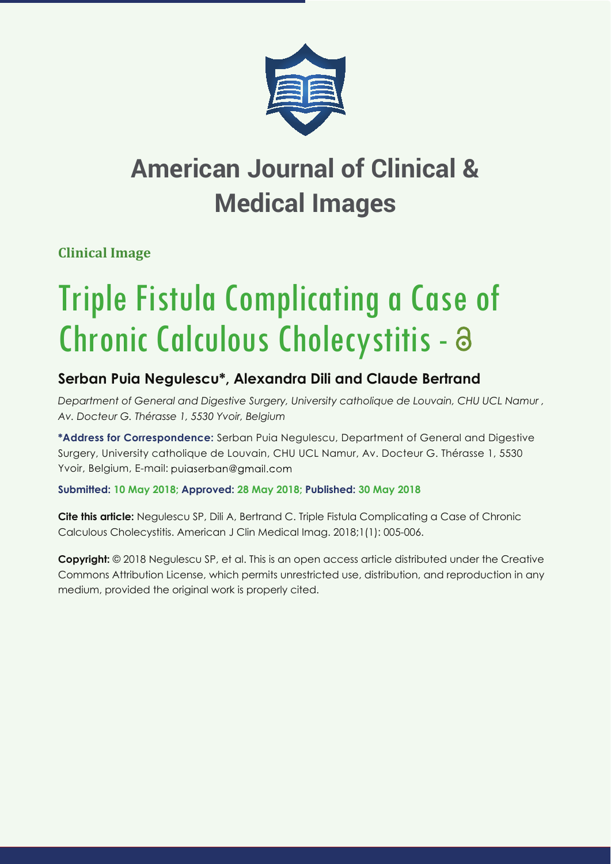

## **American Journal of Clinical & Medical Images**

**Clinical Image**

# Triple Fistula Complicating a Case of Chronic Calculous Cholecystitis - a

## **Serban Puia Negulescu\*, Alexandra Dili and Claude Bertrand**

*Department of General and Digestive Surgery, University catholique de Louvain, CHU UCL Namur , Av. Docteur G. Thérasse 1, 5530 Yvoir, Belgium*

**\*Address for Correspondence:** Serban Puia Negulescu, Department of General and Digestive Surgery, University catholique de Louvain, CHU UCL Namur, Av. Docteur G. Thérasse 1, 5530 Yvoir, Belgium, E-mail: puiaserban@gmail.com

**Submitted: 10 May 2018; Approved: 28 May 2018; Published: 30 May 2018**

**Cite this article:** Negulescu SP, Dili A, Bertrand C. Triple Fistula Complicating a Case of Chronic Calculous Cholecystitis. American J Clin Medical Imag. 2018;1(1): 005-006.

**Copyright:** © 2018 Negulescu SP, et al. This is an open access article distributed under the Creative Commons Attribution License, which permits unrestricted use, distribution, and reproduction in any medium, provided the original work is properly cited.